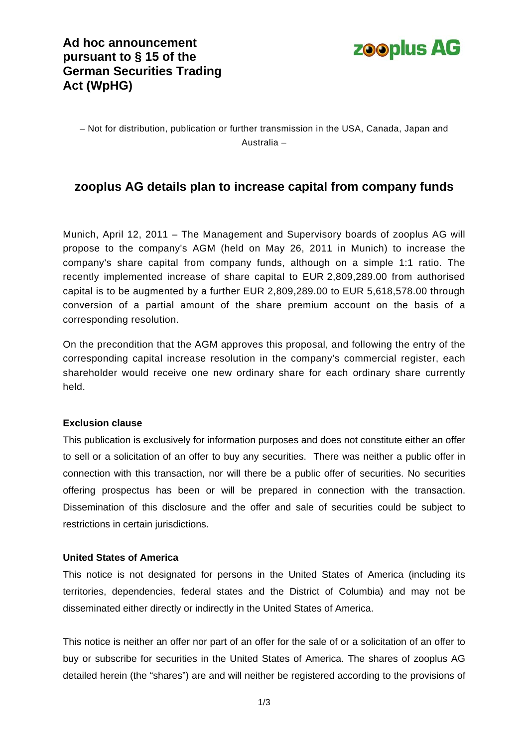### **Ad hoc announcement pursuant to § 15 of the German Securities Trading Act (WpHG)**



– Not for distribution, publication or further transmission in the USA, Canada, Japan and Australia –

### **zooplus AG details plan to increase capital from company funds**

Munich, April 12, 2011 – The Management and Supervisory boards of zooplus AG will propose to the company's AGM (held on May 26, 2011 in Munich) to increase the company's share capital from company funds, although on a simple 1:1 ratio. The recently implemented increase of share capital to EUR 2,809,289.00 from authorised capital is to be augmented by a further EUR 2,809,289.00 to EUR 5,618,578.00 through conversion of a partial amount of the share premium account on the basis of a corresponding resolution.

On the precondition that the AGM approves this proposal, and following the entry of the corresponding capital increase resolution in the company's commercial register, each shareholder would receive one new ordinary share for each ordinary share currently held.

#### **Exclusion clause**

This publication is exclusively for information purposes and does not constitute either an offer to sell or a solicitation of an offer to buy any securities. There was neither a public offer in connection with this transaction, nor will there be a public offer of securities. No securities offering prospectus has been or will be prepared in connection with the transaction. Dissemination of this disclosure and the offer and sale of securities could be subject to restrictions in certain jurisdictions.

#### **United States of America**

This notice is not designated for persons in the United States of America (including its territories, dependencies, federal states and the District of Columbia) and may not be disseminated either directly or indirectly in the United States of America.

This notice is neither an offer nor part of an offer for the sale of or a solicitation of an offer to buy or subscribe for securities in the United States of America. The shares of zooplus AG detailed herein (the "shares") are and will neither be registered according to the provisions of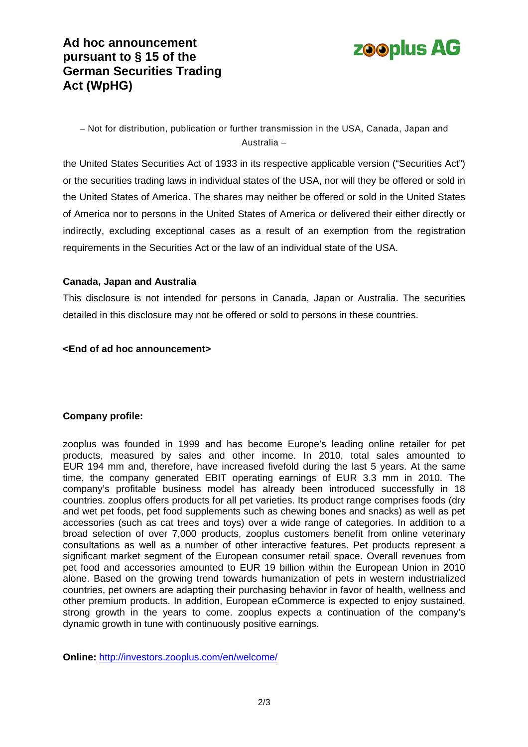# **Ad hoc announcement pursuant to § 15 of the German Securities Trading Act (WpHG)**



– Not for distribution, publication or further transmission in the USA, Canada, Japan and Australia –

the United States Securities Act of 1933 in its respective applicable version ("Securities Act") or the securities trading laws in individual states of the USA, nor will they be offered or sold in the United States of America. The shares may neither be offered or sold in the United States of America nor to persons in the United States of America or delivered their either directly or indirectly, excluding exceptional cases as a result of an exemption from the registration requirements in the Securities Act or the law of an individual state of the USA.

#### **Canada, Japan and Australia**

This disclosure is not intended for persons in Canada, Japan or Australia. The securities detailed in this disclosure may not be offered or sold to persons in these countries.

#### **<End of ad hoc announcement>**

### **Company profile:**

zooplus was founded in 1999 and has become Europe's leading online retailer for pet products, measured by sales and other income. In 2010, total sales amounted to EUR 194 mm and, therefore, have increased fivefold during the last 5 years. At the same time, the company generated EBIT operating earnings of EUR 3.3 mm in 2010. The company's profitable business model has already been introduced successfully in 18 countries. zooplus offers products for all pet varieties. Its product range comprises foods (dry and wet pet foods, pet food supplements such as chewing bones and snacks) as well as pet accessories (such as cat trees and toys) over a wide range of categories. In addition to a broad selection of over 7,000 products, zooplus customers benefit from online veterinary consultations as well as a number of other interactive features. Pet products represent a significant market segment of the European consumer retail space. Overall revenues from pet food and accessories amounted to EUR 19 billion within the European Union in 2010 alone. Based on the growing trend towards humanization of pets in western industrialized countries, pet owners are adapting their purchasing behavior in favor of health, wellness and other premium products. In addition, European eCommerce is expected to enjoy sustained, strong growth in the years to come. zooplus expects a continuation of the company's dynamic growth in tune with continuously positive earnings.

**Online:** <http://investors.zooplus.com/en/welcome/>